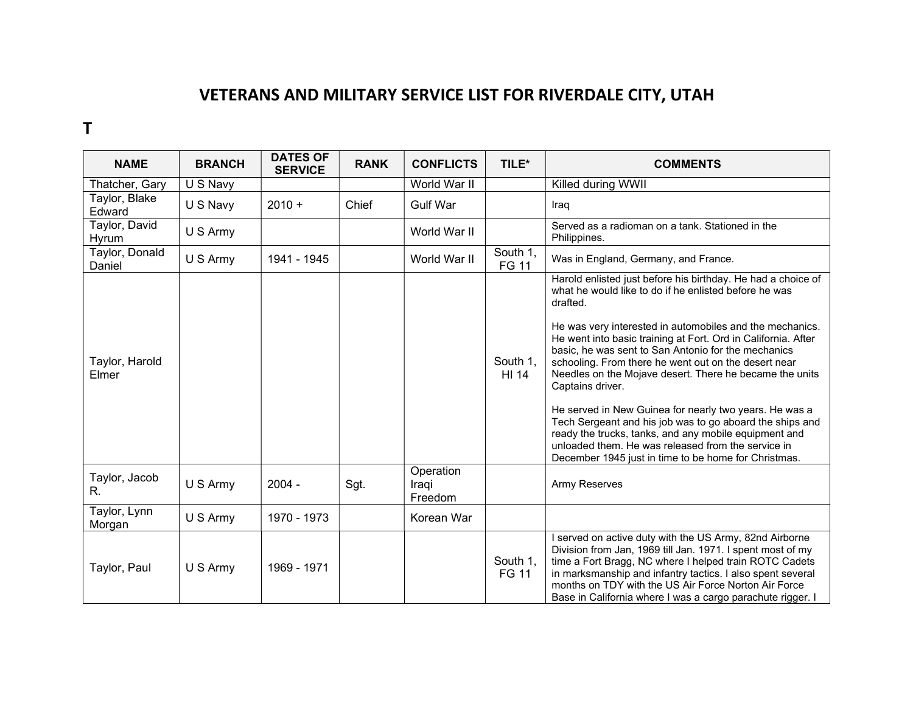## VETERANS AND MILITARY SERVICE LIST FOR RIVERDALE CITY, UTAH

## T

| <b>NAME</b>              | <b>BRANCH</b> | <b>DATES OF</b><br><b>SERVICE</b> | <b>RANK</b> | <b>CONFLICTS</b>              | TILE*                    | <b>COMMENTS</b>                                                                                                                                                                                                                                                                                                                                                                                                                                                                                                                                                                                                                                                                                                                                           |
|--------------------------|---------------|-----------------------------------|-------------|-------------------------------|--------------------------|-----------------------------------------------------------------------------------------------------------------------------------------------------------------------------------------------------------------------------------------------------------------------------------------------------------------------------------------------------------------------------------------------------------------------------------------------------------------------------------------------------------------------------------------------------------------------------------------------------------------------------------------------------------------------------------------------------------------------------------------------------------|
| Thatcher, Gary           | U S Navy      |                                   |             | World War II                  |                          | Killed during WWII                                                                                                                                                                                                                                                                                                                                                                                                                                                                                                                                                                                                                                                                                                                                        |
| Taylor, Blake<br>Edward  | U S Navy      | $2010 +$                          | Chief       | <b>Gulf War</b>               |                          | Iraq                                                                                                                                                                                                                                                                                                                                                                                                                                                                                                                                                                                                                                                                                                                                                      |
| Taylor, David<br>Hyrum   | U S Army      |                                   |             | World War II                  |                          | Served as a radioman on a tank. Stationed in the<br>Philippines.                                                                                                                                                                                                                                                                                                                                                                                                                                                                                                                                                                                                                                                                                          |
| Taylor, Donald<br>Daniel | U S Army      | 1941 - 1945                       |             | World War II                  | South 1,<br><b>FG 11</b> | Was in England, Germany, and France.                                                                                                                                                                                                                                                                                                                                                                                                                                                                                                                                                                                                                                                                                                                      |
| Taylor, Harold<br>Elmer  |               |                                   |             |                               | South 1,<br>HI 14        | Harold enlisted just before his birthday. He had a choice of<br>what he would like to do if he enlisted before he was<br>drafted.<br>He was very interested in automobiles and the mechanics.<br>He went into basic training at Fort. Ord in California. After<br>basic, he was sent to San Antonio for the mechanics<br>schooling. From there he went out on the desert near<br>Needles on the Mojave desert. There he became the units<br>Captains driver.<br>He served in New Guinea for nearly two years. He was a<br>Tech Sergeant and his job was to go aboard the ships and<br>ready the trucks, tanks, and any mobile equipment and<br>unloaded them. He was released from the service in<br>December 1945 just in time to be home for Christmas. |
| Taylor, Jacob<br>R.      | U S Army      | $2004 -$                          | Sgt.        | Operation<br>Iraqi<br>Freedom |                          | <b>Army Reserves</b>                                                                                                                                                                                                                                                                                                                                                                                                                                                                                                                                                                                                                                                                                                                                      |
| Taylor, Lynn<br>Morgan   | U S Army      | 1970 - 1973                       |             | Korean War                    |                          |                                                                                                                                                                                                                                                                                                                                                                                                                                                                                                                                                                                                                                                                                                                                                           |
| Taylor, Paul             | U S Army      | 1969 - 1971                       |             |                               | South 1,<br><b>FG 11</b> | I served on active duty with the US Army, 82nd Airborne<br>Division from Jan, 1969 till Jan. 1971. I spent most of my<br>time a Fort Bragg, NC where I helped train ROTC Cadets<br>in marksmanship and infantry tactics. I also spent several<br>months on TDY with the US Air Force Norton Air Force<br>Base in California where I was a cargo parachute rigger. I                                                                                                                                                                                                                                                                                                                                                                                       |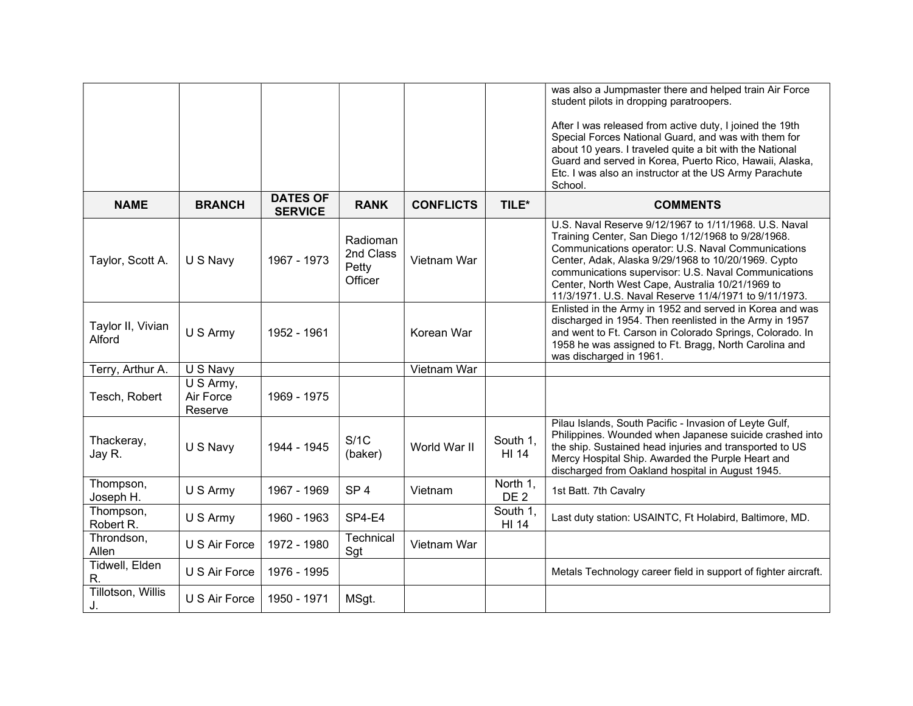|                             |                                   |                                   |                                           |                  |                             | was also a Jumpmaster there and helped train Air Force<br>student pilots in dropping paratroopers.<br>After I was released from active duty, I joined the 19th<br>Special Forces National Guard, and was with them for<br>about 10 years. I traveled quite a bit with the National<br>Guard and served in Korea, Puerto Rico, Hawaii, Alaska,<br>Etc. I was also an instructor at the US Army Parachute<br>School. |
|-----------------------------|-----------------------------------|-----------------------------------|-------------------------------------------|------------------|-----------------------------|--------------------------------------------------------------------------------------------------------------------------------------------------------------------------------------------------------------------------------------------------------------------------------------------------------------------------------------------------------------------------------------------------------------------|
| <b>NAME</b>                 | <b>BRANCH</b>                     | <b>DATES OF</b><br><b>SERVICE</b> | <b>RANK</b>                               | <b>CONFLICTS</b> | TILE*                       | <b>COMMENTS</b>                                                                                                                                                                                                                                                                                                                                                                                                    |
| Taylor, Scott A.            | U S Navy                          | 1967 - 1973                       | Radioman<br>2nd Class<br>Petty<br>Officer | Vietnam War      |                             | U.S. Naval Reserve 9/12/1967 to 1/11/1968. U.S. Naval<br>Training Center, San Diego 1/12/1968 to 9/28/1968.<br>Communications operator: U.S. Naval Communications<br>Center, Adak, Alaska 9/29/1968 to 10/20/1969. Cypto<br>communications supervisor: U.S. Naval Communications<br>Center, North West Cape, Australia 10/21/1969 to<br>11/3/1971. U.S. Naval Reserve 11/4/1971 to 9/11/1973.                      |
| Taylor II, Vivian<br>Alford | U S Army                          | 1952 - 1961                       |                                           | Korean War       |                             | Enlisted in the Army in 1952 and served in Korea and was<br>discharged in 1954. Then reenlisted in the Army in 1957<br>and went to Ft. Carson in Colorado Springs, Colorado. In<br>1958 he was assigned to Ft. Bragg, North Carolina and<br>was discharged in 1961.                                                                                                                                                |
| Terry, Arthur A.            | U S Navy                          |                                   |                                           | Vietnam War      |                             |                                                                                                                                                                                                                                                                                                                                                                                                                    |
| Tesch, Robert               | U S Army,<br>Air Force<br>Reserve | 1969 - 1975                       |                                           |                  |                             |                                                                                                                                                                                                                                                                                                                                                                                                                    |
| Thackeray,<br>Jay R.        | U S Navy                          | 1944 - 1945                       | S/1C<br>(baker)                           | World War II     | South 1,<br><b>HI 14</b>    | Pilau Islands, South Pacific - Invasion of Leyte Gulf,<br>Philippines. Wounded when Japanese suicide crashed into<br>the ship. Sustained head injuries and transported to US<br>Mercy Hospital Ship. Awarded the Purple Heart and<br>discharged from Oakland hospital in August 1945.                                                                                                                              |
| Thompson,<br>Joseph H.      | U S Army                          | 1967 - 1969                       | SP <sub>4</sub>                           | Vietnam          | North 1,<br>DE <sub>2</sub> | 1st Batt. 7th Cavalry                                                                                                                                                                                                                                                                                                                                                                                              |
| Thompson,<br>Robert R.      | U S Army                          | 1960 - 1963                       | SP4-E4                                    |                  | South 1,<br>HI 14           | Last duty station: USAINTC, Ft Holabird, Baltimore, MD.                                                                                                                                                                                                                                                                                                                                                            |
| Throndson,<br>Allen         | U S Air Force                     | 1972 - 1980                       | Technical<br>Sgt                          | Vietnam War      |                             |                                                                                                                                                                                                                                                                                                                                                                                                                    |
| Tidwell, Elden<br>R.        | U S Air Force                     | 1976 - 1995                       |                                           |                  |                             | Metals Technology career field in support of fighter aircraft.                                                                                                                                                                                                                                                                                                                                                     |
| Tillotson, Willis<br>J.     | U S Air Force                     | 1950 - 1971                       | MSgt.                                     |                  |                             |                                                                                                                                                                                                                                                                                                                                                                                                                    |